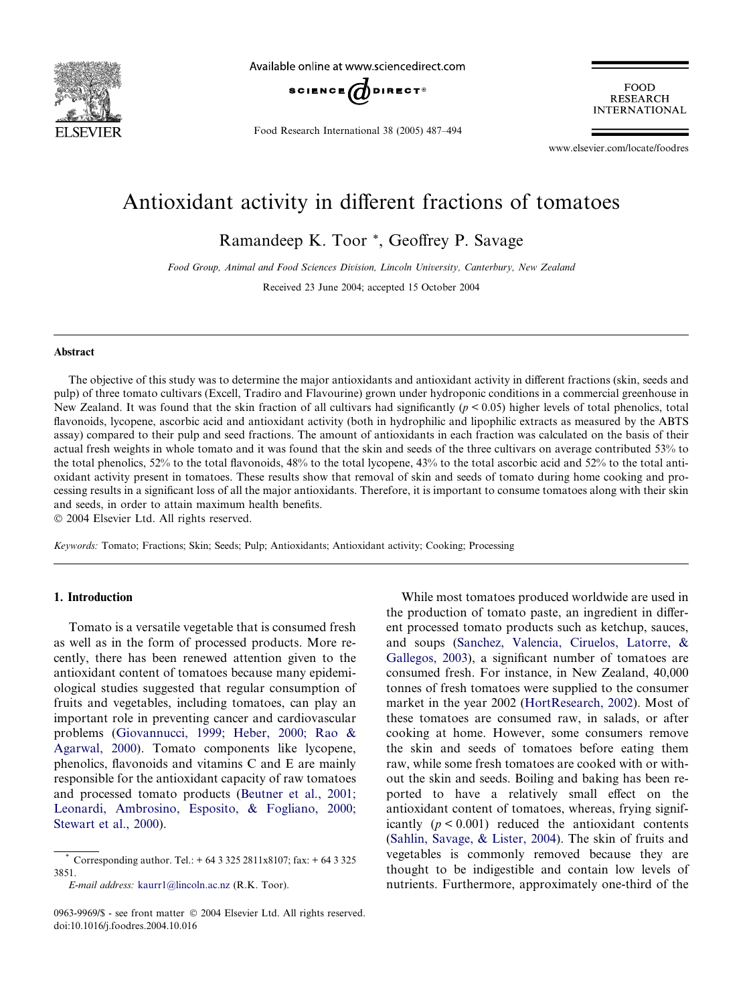

Available online at www.sciencedirect.com



Food Research International 38 (2005) 487–494

**FOOD RESEARCH INTERNATIONAL** 

www.elsevier.com/locate/foodres

# Antioxidant activity in different fractions of tomatoes

Ramandeep K. Toor \*, Geoffrey P. Savage

Food Group, Animal and Food Sciences Division, Lincoln University, Canterbury, New Zealand

Received 23 June 2004; accepted 15 October 2004

#### Abstract

The objective of this study was to determine the major antioxidants and antioxidant activity in different fractions (skin, seeds and pulp) of three tomato cultivars (Excell, Tradiro and Flavourine) grown under hydroponic conditions in a commercial greenhouse in New Zealand. It was found that the skin fraction of all cultivars had significantly ( $p < 0.05$ ) higher levels of total phenolics, total flavonoids, lycopene, ascorbic acid and antioxidant activity (both in hydrophilic and lipophilic extracts as measured by the ABTS assay) compared to their pulp and seed fractions. The amount of antioxidants in each fraction was calculated on the basis of their actual fresh weights in whole tomato and it was found that the skin and seeds of the three cultivars on average contributed 53% to the total phenolics, 52% to the total flavonoids, 48% to the total lycopene, 43% to the total ascorbic acid and 52% to the total antioxidant activity present in tomatoes. These results show that removal of skin and seeds of tomato during home cooking and processing results in a significant loss of all the major antioxidants. Therefore, it is important to consume tomatoes along with their skin and seeds, in order to attain maximum health benefits.

2004 Elsevier Ltd. All rights reserved.

Keywords: Tomato; Fractions; Skin; Seeds; Pulp; Antioxidants; Antioxidant activity; Cooking; Processing

# 1. Introduction

Tomato is a versatile vegetable that is consumed fresh as well as in the form of processed products. More recently, there has been renewed attention given to the antioxidant content of tomatoes because many epidemiological studies suggested that regular consumption of fruits and vegetables, including tomatoes, can play an important role in preventing cancer and cardiovascular problems ([Giovannucci, 1999; Heber, 2000; Rao &](#page-7-0) [Agarwal, 2000](#page-7-0)). Tomato components like lycopene, phenolics, flavonoids and vitamins C and E are mainly responsible for the antioxidant capacity of raw tomatoes and processed tomato products [\(Beutner et al., 2001;](#page-6-0) [Leonardi, Ambrosino, Esposito, & Fogliano, 2000;](#page-6-0) [Stewart et al., 2000\)](#page-6-0).

E-mail address: [kaurr1@lincoln.ac.nz](mailto:kaurr1@lincoln.ac.nz ) (R.K. Toor).

While most tomatoes produced worldwide are used in the production of tomato paste, an ingredient in different processed tomato products such as ketchup, sauces, and soups ([Sanchez, Valencia, Ciruelos, Latorre, &](#page-7-0) [Gallegos, 2003\)](#page-7-0), a significant number of tomatoes are consumed fresh. For instance, in New Zealand, 40,000 tonnes of fresh tomatoes were supplied to the consumer market in the year 2002 ([HortResearch, 2002\)](#page-7-0). Most of these tomatoes are consumed raw, in salads, or after cooking at home. However, some consumers remove the skin and seeds of tomatoes before eating them raw, while some fresh tomatoes are cooked with or without the skin and seeds. Boiling and baking has been reported to have a relatively small effect on the antioxidant content of tomatoes, whereas, frying significantly  $(p < 0.001)$  reduced the antioxidant contents ([Sahlin, Savage, & Lister, 2004\)](#page-7-0). The skin of fruits and vegetables is commonly removed because they are thought to be indigestible and contain low levels of nutrients. Furthermore, approximately one-third of the

Corresponding author. Tel.:  $+ 6433252811x8107$ ; fax:  $+ 643325$ 3851.

<sup>0963-9969/\$ -</sup> see front matter © 2004 Elsevier Ltd. All rights reserved. doi:10.1016/j.foodres.2004.10.016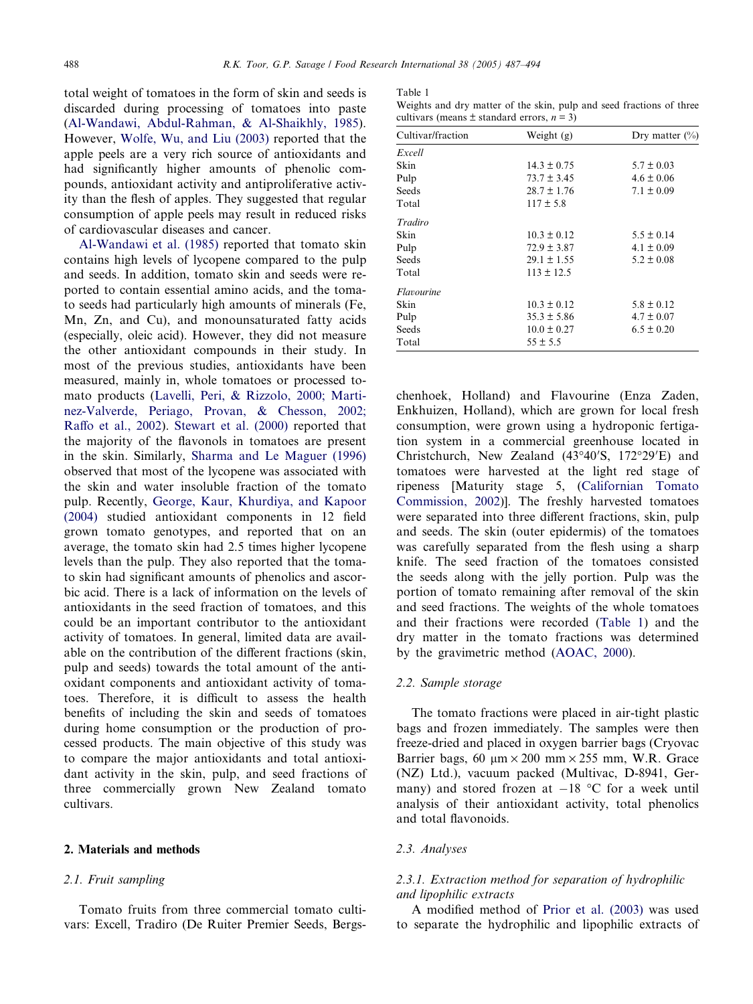<span id="page-1-0"></span>total weight of tomatoes in the form of skin and seeds is discarded during processing of tomatoes into paste ([Al-Wandawi, Abdul-Rahman, & Al-Shaikhly, 1985\)](#page-6-0). However, [Wolfe, Wu, and Liu \(2003\)](#page-7-0) reported that the apple peels are a very rich source of antioxidants and had significantly higher amounts of phenolic compounds, antioxidant activity and antiproliferative activity than the flesh of apples. They suggested that regular consumption of apple peels may result in reduced risks of cardiovascular diseases and cancer.

[Al-Wandawi et al. \(1985\)](#page-6-0) reported that tomato skin contains high levels of lycopene compared to the pulp and seeds. In addition, tomato skin and seeds were reported to contain essential amino acids, and the tomato seeds had particularly high amounts of minerals (Fe, Mn, Zn, and Cu), and monounsaturated fatty acids (especially, oleic acid). However, they did not measure the other antioxidant compounds in their study. In most of the previous studies, antioxidants have been measured, mainly in, whole tomatoes or processed tomato products [\(Lavelli, Peri, & Rizzolo, 2000; Marti](#page-7-0)[nez-Valverde, Periago, Provan, & Chesson, 2002;](#page-7-0) [Raffo et al., 2002\)](#page-7-0). [Stewart et al. \(2000\)](#page-7-0) reported that the majority of the flavonols in tomatoes are present in the skin. Similarly, [Sharma and Le Maguer \(1996\)](#page-7-0) observed that most of the lycopene was associated with the skin and water insoluble fraction of the tomato pulp. Recently, [George, Kaur, Khurdiya, and Kapoor](#page-7-0) [\(2004\)](#page-7-0) studied antioxidant components in 12 field grown tomato genotypes, and reported that on an average, the tomato skin had 2.5 times higher lycopene levels than the pulp. They also reported that the tomato skin had significant amounts of phenolics and ascorbic acid. There is a lack of information on the levels of antioxidants in the seed fraction of tomatoes, and this could be an important contributor to the antioxidant activity of tomatoes. In general, limited data are available on the contribution of the different fractions (skin, pulp and seeds) towards the total amount of the antioxidant components and antioxidant activity of tomatoes. Therefore, it is difficult to assess the health benefits of including the skin and seeds of tomatoes during home consumption or the production of processed products. The main objective of this study was to compare the major antioxidants and total antioxidant activity in the skin, pulp, and seed fractions of three commercially grown New Zealand tomato cultivars.

#### 2. Materials and methods

#### 2.1. Fruit sampling

Tomato fruits from three commercial tomato cultivars: Excell, Tradiro (De Ruiter Premier Seeds, Bergs-

#### Table 1

Weights and dry matter of the skin, pulp and seed fractions of three cultivars (means  $\pm$  standard errors,  $n = 3$ )

| Cultivar/fraction | Weight $(g)$    | Dry matter $(\%$ |  |
|-------------------|-----------------|------------------|--|
| Excell            |                 |                  |  |
| Skin              | $14.3 \pm 0.75$ | $5.7 \pm 0.03$   |  |
| Pulp              | $73.7 \pm 3.45$ | $4.6 \pm 0.06$   |  |
| <b>Seeds</b>      | $28.7 \pm 1.76$ | $7.1 \pm 0.09$   |  |
| Total             | $117 \pm 5.8$   |                  |  |
| Tradiro           |                 |                  |  |
| Skin              | $10.3 \pm 0.12$ | $5.5 \pm 0.14$   |  |
| Pulp              | $72.9 \pm 3.87$ | $4.1 \pm 0.09$   |  |
| <b>Seeds</b>      | $29.1 \pm 1.55$ | $5.2 \pm 0.08$   |  |
| Total             | $113 \pm 12.5$  |                  |  |
| <b>Flavourine</b> |                 |                  |  |
| Skin              | $10.3 \pm 0.12$ | $5.8 \pm 0.12$   |  |
| Pulp              | $35.3 \pm 5.86$ | $4.7 \pm 0.07$   |  |
| <b>Seeds</b>      | $10.0 \pm 0.27$ | $6.5 \pm 0.20$   |  |
| Total             | $55 \pm 5.5$    |                  |  |

chenhoek, Holland) and Flavourine (Enza Zaden, Enkhuizen, Holland), which are grown for local fresh consumption, were grown using a hydroponic fertigation system in a commercial greenhouse located in Christchurch, New Zealand (43°40'S, 172°29'E) and tomatoes were harvested at the light red stage of ripeness [Maturity stage 5, ([Californian Tomato](#page-7-0) [Commission, 2002](#page-7-0))]. The freshly harvested tomatoes were separated into three different fractions, skin, pulp and seeds. The skin (outer epidermis) of the tomatoes was carefully separated from the flesh using a sharp knife. The seed fraction of the tomatoes consisted the seeds along with the jelly portion. Pulp was the portion of tomato remaining after removal of the skin and seed fractions. The weights of the whole tomatoes and their fractions were recorded (Table 1) and the dry matter in the tomato fractions was determined by the gravimetric method [\(AOAC, 2000\)](#page-6-0).

## 2.2. Sample storage

The tomato fractions were placed in air-tight plastic bags and frozen immediately. The samples were then freeze-dried and placed in oxygen barrier bags (Cryovac Barrier bags, 60  $\mu$ m  $\times$  200 mm  $\times$  255 mm, W.R. Grace (NZ) Ltd.), vacuum packed (Multivac, D-8941, Germany) and stored frozen at  $-18$  °C for a week until analysis of their antioxidant activity, total phenolics and total flavonoids.

#### 2.3. Analyses

# 2.3.1. Extraction method for separation of hydrophilic and lipophilic extracts

A modified method of [Prior et al. \(2003\)](#page-7-0) was used to separate the hydrophilic and lipophilic extracts of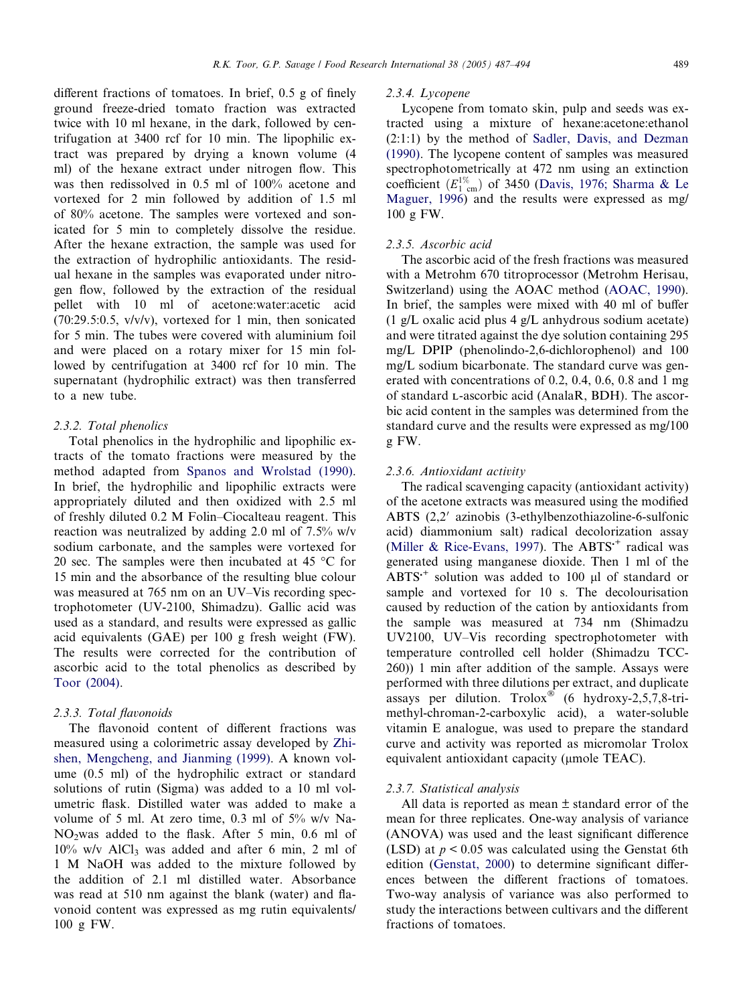different fractions of tomatoes. In brief, 0.5 g of finely ground freeze-dried tomato fraction was extracted twice with 10 ml hexane, in the dark, followed by centrifugation at 3400 rcf for 10 min. The lipophilic extract was prepared by drying a known volume (4 ml) of the hexane extract under nitrogen flow. This was then redissolved in 0.5 ml of 100% acetone and vortexed for 2 min followed by addition of 1.5 ml of 80% acetone. The samples were vortexed and sonicated for 5 min to completely dissolve the residue. After the hexane extraction, the sample was used for the extraction of hydrophilic antioxidants. The residual hexane in the samples was evaporated under nitrogen flow, followed by the extraction of the residual pellet with 10 ml of acetone:water:acetic acid (70:29.5:0.5, v/v/v), vortexed for 1 min, then sonicated for 5 min. The tubes were covered with aluminium foil and were placed on a rotary mixer for 15 min followed by centrifugation at 3400 rcf for 10 min. The supernatant (hydrophilic extract) was then transferred to a new tube.

## 2.3.2. Total phenolics

Total phenolics in the hydrophilic and lipophilic extracts of the tomato fractions were measured by the method adapted from [Spanos and Wrolstad \(1990\).](#page-7-0) In brief, the hydrophilic and lipophilic extracts were appropriately diluted and then oxidized with 2.5 ml of freshly diluted 0.2 M Folin–Ciocalteau reagent. This reaction was neutralized by adding 2.0 ml of 7.5% w/v sodium carbonate, and the samples were vortexed for 20 sec. The samples were then incubated at 45  $\degree$ C for 15 min and the absorbance of the resulting blue colour was measured at 765 nm on an UV–Vis recording spectrophotometer (UV-2100, Shimadzu). Gallic acid was used as a standard, and results were expressed as gallic acid equivalents (GAE) per 100 g fresh weight (FW). The results were corrected for the contribution of ascorbic acid to the total phenolics as described by [Toor \(2004\).](#page-7-0)

#### 2.3.3. Total flavonoids

The flavonoid content of different fractions was measured using a colorimetric assay developed by [Zhi](#page-7-0)[shen, Mengcheng, and Jianming \(1999\).](#page-7-0) A known volume (0.5 ml) of the hydrophilic extract or standard solutions of rutin (Sigma) was added to a 10 ml volumetric flask. Distilled water was added to make a volume of 5 ml. At zero time,  $0.3$  ml of  $5\%$  w/v Na-NO2was added to the flask. After 5 min, 0.6 ml of  $10\%$  w/v AlCl<sub>3</sub> was added and after 6 min, 2 ml of 1 M NaOH was added to the mixture followed by the addition of 2.1 ml distilled water. Absorbance was read at 510 nm against the blank (water) and flavonoid content was expressed as mg rutin equivalents/ 100 g FW.

#### 2.3.4. Lycopene

Lycopene from tomato skin, pulp and seeds was extracted using a mixture of hexane:acetone:ethanol (2:1:1) by the method of [Sadler, Davis, and Dezman](#page-7-0) [\(1990\)](#page-7-0). The lycopene content of samples was measured spectrophotometrically at 472 nm using an extinction coefficient  $(E_{1 \text{ cm}}^{1\%})$  of 3450 [\(Davis, 1976; Sharma & Le](#page-7-0) [Maguer, 1996](#page-7-0)) and the results were expressed as mg/ 100 g FW.

#### 2.3.5. Ascorbic acid

The ascorbic acid of the fresh fractions was measured with a Metrohm 670 titroprocessor (Metrohm Herisau, Switzerland) using the AOAC method [\(AOAC, 1990\)](#page-6-0). In brief, the samples were mixed with 40 ml of buffer (1 g/L oxalic acid plus 4 g/L anhydrous sodium acetate) and were titrated against the dye solution containing 295 mg/L DPIP (phenolindo-2,6-dichlorophenol) and 100 mg/L sodium bicarbonate. The standard curve was generated with concentrations of 0.2, 0.4, 0.6, 0.8 and 1 mg of standard L-ascorbic acid (AnalaR, BDH). The ascorbic acid content in the samples was determined from the standard curve and the results were expressed as mg/100 g FW.

#### 2.3.6. Antioxidant activity

The radical scavenging capacity (antioxidant activity) of the acetone extracts was measured using the modified ABTS (2,2<sup>'</sup> azinobis (3-ethylbenzothiazoline-6-sulfonic acid) diammonium salt) radical decolorization assay ([Miller & Rice-Evans, 1997\)](#page-7-0). The  $ABTS<sup>+</sup>$  radical was generated using manganese dioxide. Then 1 ml of the  $ABTS<sup>+</sup>$  solution was added to 100 µl of standard or sample and vortexed for 10 s. The decolourisation caused by reduction of the cation by antioxidants from the sample was measured at 734 nm (Shimadzu UV2100, UV–Vis recording spectrophotometer with temperature controlled cell holder (Shimadzu TCC-260)) 1 min after addition of the sample. Assays were performed with three dilutions per extract, and duplicate assays per dilution. Trolox<sup>®</sup> (6 hydroxy-2,5,7,8-trimethyl-chroman-2-carboxylic acid), a water-soluble vitamin E analogue, was used to prepare the standard curve and activity was reported as micromolar Trolox equivalent antioxidant capacity (umole TEAC).

#### 2.3.7. Statistical analysis

All data is reported as mean ± standard error of the mean for three replicates. One-way analysis of variance (ANOVA) was used and the least significant difference (LSD) at  $p < 0.05$  was calculated using the Genstat 6th edition ([Genstat, 2000\)](#page-7-0) to determine significant differences between the different fractions of tomatoes. Two-way analysis of variance was also performed to study the interactions between cultivars and the different fractions of tomatoes.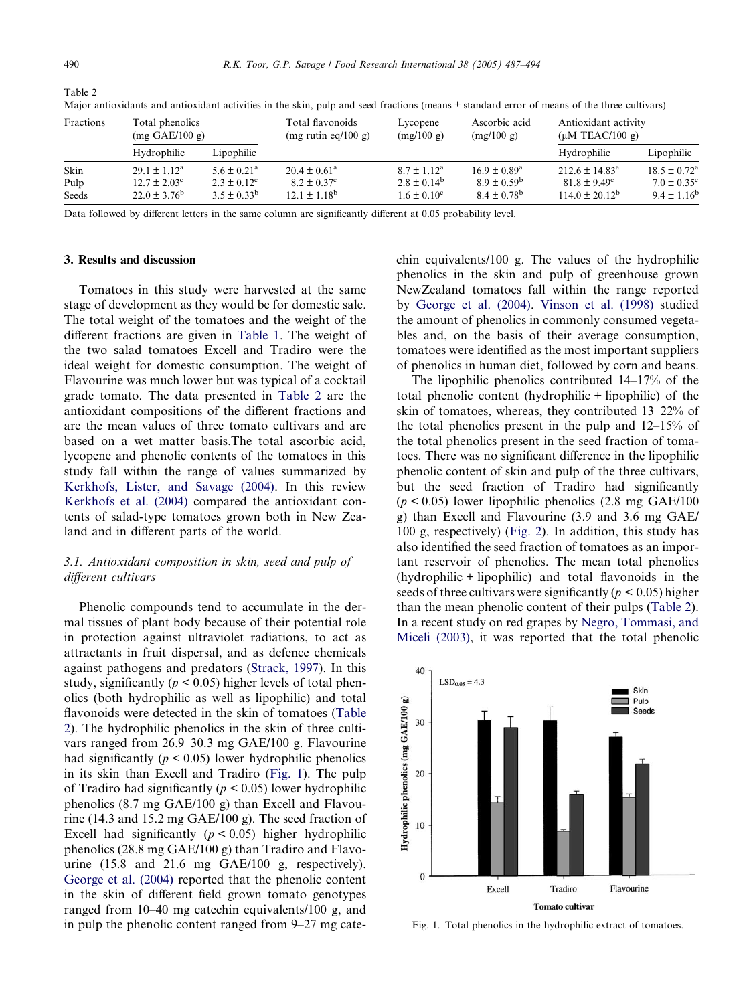<span id="page-3-0"></span>

Table 2

| Fractions | Total phenolics<br>$(mg \text{ GAE}/100 g)$ |                        | Total flavonoids<br>$(mg$ rutin eq/100 g) | Lycopene<br>(mg/100 g) | Ascorbic acid<br>(mg/100 g) | Antioxidant activity<br>$(\mu M$ TEAC/100 g) |                         |
|-----------|---------------------------------------------|------------------------|-------------------------------------------|------------------------|-----------------------------|----------------------------------------------|-------------------------|
|           | Hydrophilic                                 | Lipophilic             |                                           |                        |                             | Hydrophilic                                  | Lipophilic              |
| Skin      | $29.1 \pm 1.12^a$                           | $5.6 \pm 0.21^{\rm a}$ | $20.4 \pm 0.61^{\rm a}$                   | $8.7 \pm 1.12^a$       | $16.9 \pm 0.89^{\rm a}$     | $212.6 \pm 14.83$ <sup>a</sup>               | $18.5 \pm 0.72^{\rm a}$ |
| Pulp      | $12.7 \pm 2.03^{\circ}$                     | $2.3 \pm 0.12^{\circ}$ | $8.2 \pm 0.37^{\circ}$                    | $2.8 \pm 0.14^b$       | $8.9 \pm 0.59^{\rm b}$      | $81.8 \pm 9.49^{\circ}$                      | $7.0 \pm 0.35^{\circ}$  |
| Seeds     | $22.0 \pm 3.76^{\rm b}$                     | $3.5 \pm 0.33^b$       | $12.1 + 1.18^b$                           | $1.6 \pm 0.10^{\circ}$ | $8.4 \pm 0.78^{\rm b}$      | $114.0 \pm 20.12^b$                          | $9.4 \pm 1.16^b$        |

Major antioxidants and antioxidant activities in the skin, pulp and seed fractions (means ± standard error of means of the three cultivars)

Data followed by different letters in the same column are significantly different at 0.05 probability level.

## 3. Results and discussion

Tomatoes in this study were harvested at the same stage of development as they would be for domestic sale. The total weight of the tomatoes and the weight of the different fractions are given in [Table 1](#page-1-0). The weight of the two salad tomatoes Excell and Tradiro were the ideal weight for domestic consumption. The weight of Flavourine was much lower but was typical of a cocktail grade tomato. The data presented in Table 2 are the antioxidant compositions of the different fractions and are the mean values of three tomato cultivars and are based on a wet matter basis.The total ascorbic acid, lycopene and phenolic contents of the tomatoes in this study fall within the range of values summarized by [Kerkhofs, Lister, and Savage \(2004\)](#page-7-0). In this review [Kerkhofs et al. \(2004\)](#page-7-0) compared the antioxidant contents of salad-type tomatoes grown both in New Zealand and in different parts of the world.

# 3.1. Antioxidant composition in skin, seed and pulp of different cultivars

Phenolic compounds tend to accumulate in the dermal tissues of plant body because of their potential role in protection against ultraviolet radiations, to act as attractants in fruit dispersal, and as defence chemicals against pathogens and predators [\(Strack, 1997](#page-7-0)). In this study, significantly ( $p < 0.05$ ) higher levels of total phenolics (both hydrophilic as well as lipophilic) and total flavonoids were detected in the skin of tomatoes (Table 2). The hydrophilic phenolics in the skin of three cultivars ranged from 26.9–30.3 mg GAE/100 g. Flavourine had significantly ( $p < 0.05$ ) lower hydrophilic phenolics in its skin than Excell and Tradiro (Fig. 1). The pulp of Tradiro had significantly ( $p < 0.05$ ) lower hydrophilic phenolics (8.7 mg GAE/100 g) than Excell and Flavourine (14.3 and 15.2 mg GAE/100 g). The seed fraction of Excell had significantly  $(p < 0.05)$  higher hydrophilic phenolics (28.8 mg GAE/100 g) than Tradiro and Flavourine (15.8 and 21.6 mg GAE/100 g, respectively). [George et al. \(2004\)](#page-7-0) reported that the phenolic content in the skin of different field grown tomato genotypes ranged from 10–40 mg catechin equivalents/100 g, and in pulp the phenolic content ranged from 9–27 mg catechin equivalents/100 g. The values of the hydrophilic phenolics in the skin and pulp of greenhouse grown NewZealand tomatoes fall within the range reported by [George et al. \(2004\).](#page-7-0) [Vinson et al. \(1998\)](#page-7-0) studied the amount of phenolics in commonly consumed vegetables and, on the basis of their average consumption, tomatoes were identified as the most important suppliers of phenolics in human diet, followed by corn and beans.

The lipophilic phenolics contributed 14–17% of the total phenolic content (hydrophilic + lipophilic) of the skin of tomatoes, whereas, they contributed 13–22% of the total phenolics present in the pulp and 12–15% of the total phenolics present in the seed fraction of tomatoes. There was no significant difference in the lipophilic phenolic content of skin and pulp of the three cultivars, but the seed fraction of Tradiro had significantly  $(p < 0.05)$  lower lipophilic phenolics  $(2.8 \text{ mg } \text{GAE}/100)$ g) than Excell and Flavourine (3.9 and 3.6 mg GAE/ 100 g, respectively) ([Fig. 2](#page-4-0)). In addition, this study has also identified the seed fraction of tomatoes as an important reservoir of phenolics. The mean total phenolics (hydrophilic + lipophilic) and total flavonoids in the seeds of three cultivars were significantly ( $p < 0.05$ ) higher than the mean phenolic content of their pulps (Table 2). In a recent study on red grapes by [Negro, Tommasi, and](#page-7-0) [Miceli \(2003\),](#page-7-0) it was reported that the total phenolic



Fig. 1. Total phenolics in the hydrophilic extract of tomatoes.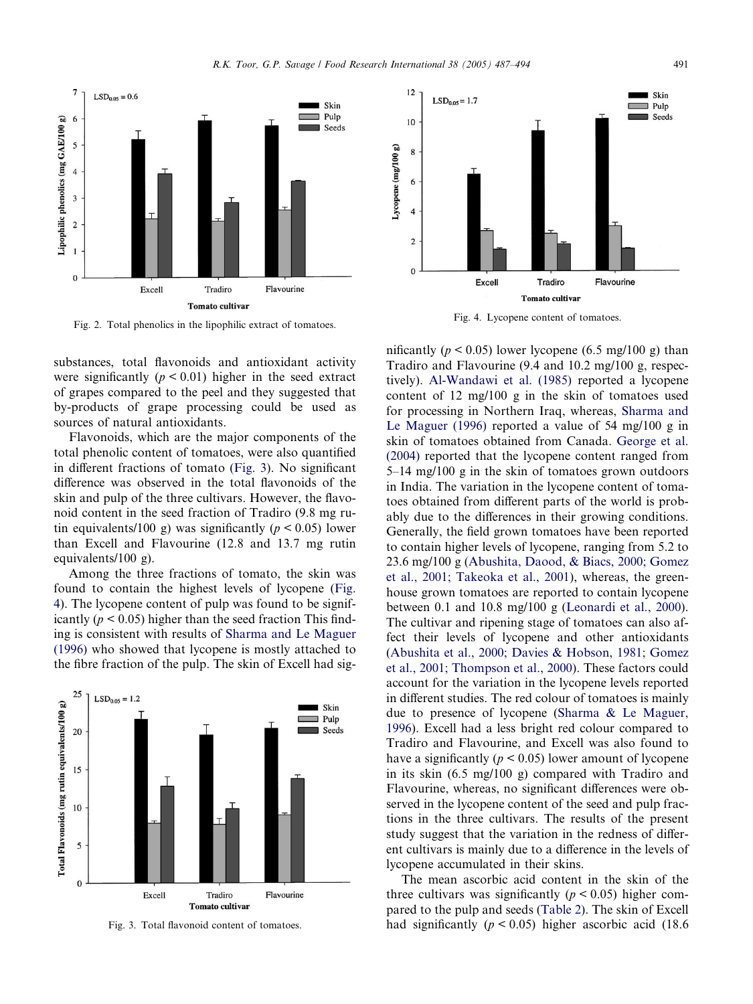<span id="page-4-0"></span>

Fig. 2. Total phenolics in the lipophilic extract of tomatoes.

substances, total flavonoids and antioxidant activity were significantly  $(p < 0.01)$  higher in the seed extract of grapes compared to the peel and they suggested that by-products of grape processing could be used as sources of natural antioxidants.

Flavonoids, which are the major components of the total phenolic content of tomatoes, were also quantified in different fractions of tomato (Fig. 3). No significant difference was observed in the total flavonoids of the skin and pulp of the three cultivars. However, the flavonoid content in the seed fraction of Tradiro (9.8 mg rutin equivalents/100 g) was significantly ( $p < 0.05$ ) lower than Excell and Flavourine (12.8 and 13.7 mg rutin equivalents/100  $\epsilon$ ).

Among the three fractions of tomato, the skin was found to contain the highest levels of lycopene (Fig. 4). The lycopene content of pulp was found to be significantly ( $p < 0.05$ ) higher than the seed fraction This finding is consistent with results of [Sharma and Le Maguer](#page-7-0) [\(1996\)](#page-7-0) who showed that lycopene is mostly attached to the fibre fraction of the pulp. The skin of Excell had sig-



Fig. 3. Total flavonoid content of tomatoes.



Fig. 4. Lycopene content of tomatoes.

nificantly ( $p < 0.05$ ) lower lycopene (6.5 mg/100 g) than Tradiro and Flavourine (9.4 and 10.2 mg/100 g, respectively). [Al-Wandawi et al. \(1985\)](#page-6-0) reported a lycopene content of 12 mg/100 g in the skin of tomatoes used for processing in Northern Iraq, whereas, [Sharma and](#page-7-0) [Le Maguer \(1996\)](#page-7-0) reported a value of 54 mg/100 g in skin of tomatoes obtained from Canada. [George et al.](#page-7-0) [\(2004\)](#page-7-0) reported that the lycopene content ranged from 5–14 mg/100 g in the skin of tomatoes grown outdoors in India. The variation in the lycopene content of tomatoes obtained from different parts of the world is probably due to the differences in their growing conditions. Generally, the field grown tomatoes have been reported to contain higher levels of lycopene, ranging from 5.2 to 23.6 mg/100 g ([Abushita, Daood, & Biacs, 2000; Gomez](#page-6-0) [et al., 2001; Takeoka et al., 2001\)](#page-6-0), whereas, the greenhouse grown tomatoes are reported to contain lycopene between 0.1 and 10.8 mg/100 g ([Leonardi et al., 2000\)](#page-7-0). The cultivar and ripening stage of tomatoes can also affect their levels of lycopene and other antioxidants ([Abushita et al., 2000; Davies & Hobson, 1981; Gomez](#page-6-0) [et al., 2001; Thompson et al., 2000\)](#page-6-0). These factors could account for the variation in the lycopene levels reported in different studies. The red colour of tomatoes is mainly due to presence of lycopene [\(Sharma & Le Maguer,](#page-7-0) [1996](#page-7-0)). Excell had a less bright red colour compared to Tradiro and Flavourine, and Excell was also found to have a significantly ( $p < 0.05$ ) lower amount of lycopene in its skin (6.5 mg/100 g) compared with Tradiro and Flavourine, whereas, no significant differences were observed in the lycopene content of the seed and pulp fractions in the three cultivars. The results of the present study suggest that the variation in the redness of different cultivars is mainly due to a difference in the levels of lycopene accumulated in their skins.

The mean ascorbic acid content in the skin of the three cultivars was significantly ( $p < 0.05$ ) higher compared to the pulp and seeds ([Table 2\)](#page-3-0). The skin of Excell had significantly ( $p < 0.05$ ) higher ascorbic acid (18.6)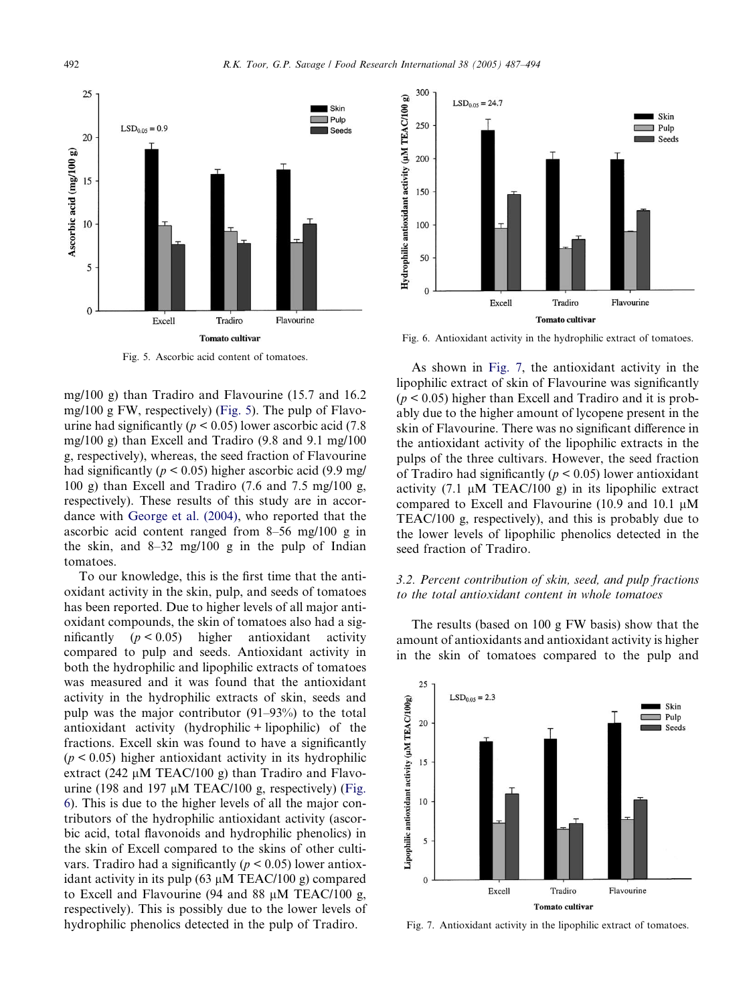

Fig. 5. Ascorbic acid content of tomatoes.

mg/100 g) than Tradiro and Flavourine (15.7 and 16.2 mg/100 g FW, respectively) (Fig. 5). The pulp of Flavourine had significantly ( $p < 0.05$ ) lower ascorbic acid (7.8) mg/100 g) than Excell and Tradiro (9.8 and 9.1 mg/100 g, respectively), whereas, the seed fraction of Flavourine had significantly ( $p < 0.05$ ) higher ascorbic acid (9.9 mg/ 100 g) than Excell and Tradiro (7.6 and 7.5 mg/100 g, respectively). These results of this study are in accordance with [George et al. \(2004\),](#page-7-0) who reported that the ascorbic acid content ranged from 8–56 mg/100 g in the skin, and 8–32 mg/100 g in the pulp of Indian tomatoes.

To our knowledge, this is the first time that the antioxidant activity in the skin, pulp, and seeds of tomatoes has been reported. Due to higher levels of all major antioxidant compounds, the skin of tomatoes also had a significantly  $(p < 0.05)$  higher antioxidant activity compared to pulp and seeds. Antioxidant activity in both the hydrophilic and lipophilic extracts of tomatoes was measured and it was found that the antioxidant activity in the hydrophilic extracts of skin, seeds and pulp was the major contributor (91–93%) to the total antioxidant activity (hydrophilic + lipophilic) of the fractions. Excell skin was found to have a significantly  $(p < 0.05)$  higher antioxidant activity in its hydrophilic extract (242  $\mu$ M TEAC/100 g) than Tradiro and Flavourine (198 and 197  $\mu$ M TEAC/100 g, respectively) (Fig. 6). This is due to the higher levels of all the major contributors of the hydrophilic antioxidant activity (ascorbic acid, total flavonoids and hydrophilic phenolics) in the skin of Excell compared to the skins of other cultivars. Tradiro had a significantly ( $p < 0.05$ ) lower antioxidant activity in its pulp  $(63 \mu M)$  TEAC/100 g) compared to Excell and Flavourine (94 and 88  $\mu$ M TEAC/100 g, respectively). This is possibly due to the lower levels of hydrophilic phenolics detected in the pulp of Tradiro.



Fig. 6. Antioxidant activity in the hydrophilic extract of tomatoes.

As shown in Fig. 7, the antioxidant activity in the lipophilic extract of skin of Flavourine was significantly  $(p < 0.05)$  higher than Excell and Tradiro and it is probably due to the higher amount of lycopene present in the skin of Flavourine. There was no significant difference in the antioxidant activity of the lipophilic extracts in the pulps of the three cultivars. However, the seed fraction of Tradiro had significantly ( $p < 0.05$ ) lower antioxidant activity  $(7.1 \mu M)$  TEAC/100 g) in its lipophilic extract compared to Excell and Flavourine (10.9 and 10.1  $\mu$ M TEAC/100 g, respectively), and this is probably due to the lower levels of lipophilic phenolics detected in the seed fraction of Tradiro.

# 3.2. Percent contribution of skin, seed, and pulp fractions to the total antioxidant content in whole tomatoes

The results (based on 100 g FW basis) show that the amount of antioxidants and antioxidant activity is higher in the skin of tomatoes compared to the pulp and



Fig. 7. Antioxidant activity in the lipophilic extract of tomatoes.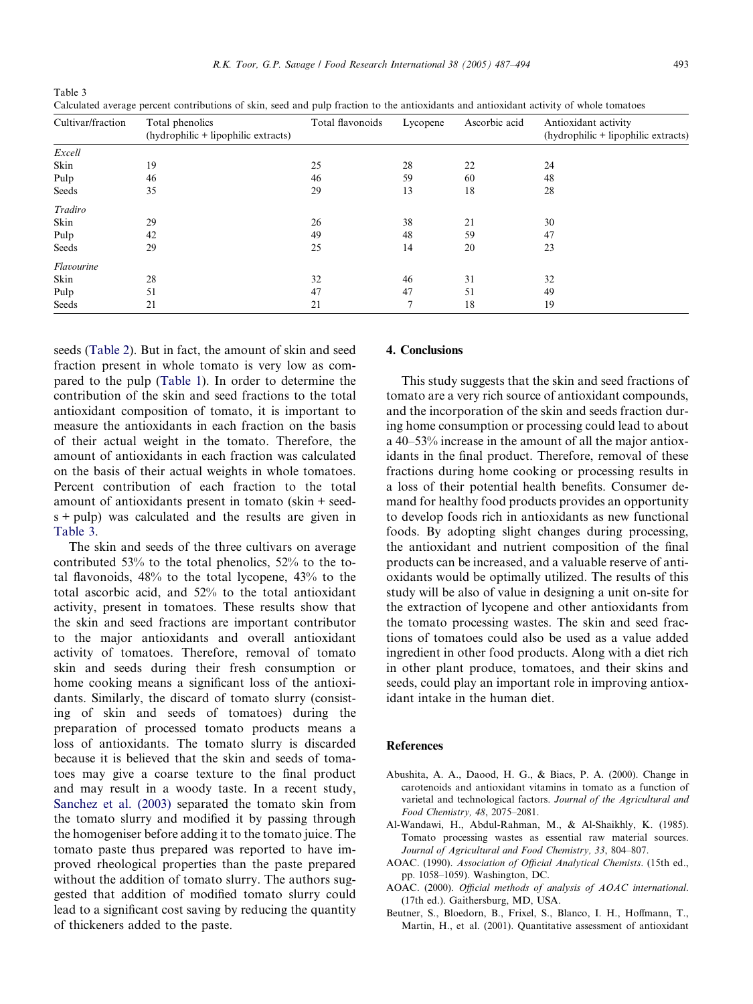| Cultivar/fraction | Total phenolics                     | Total flavonoids | Lycopene | Ascorbic acid | Antioxidant activity                |  |
|-------------------|-------------------------------------|------------------|----------|---------------|-------------------------------------|--|
|                   | (hydrophilic + lipophilic extracts) |                  |          |               | (hydrophilic + lipophilic extracts) |  |
| Excell            |                                     |                  |          |               |                                     |  |
| Skin              | 19                                  | 25               | 28       | 22            | 24                                  |  |
| Pulp              | 46                                  | 46               | 59       | 60            | 48                                  |  |
| Seeds             | 35                                  | 29               | 13       | 18            | 28                                  |  |
| Tradiro           |                                     |                  |          |               |                                     |  |
| Skin              | 29                                  | 26               | 38       | 21            | 30                                  |  |
| Pulp              | 42                                  | 49               | 48       | 59            | 47                                  |  |
| Seeds             | 29                                  | 25               | 14       | 20            | 23                                  |  |
| Flavourine        |                                     |                  |          |               |                                     |  |
| Skin              | 28                                  | 32               | 46       | 31            | 32                                  |  |
| Pulp              | 51                                  | 47               | 47       | 51            | 49                                  |  |
| Seeds             | 21                                  | 21               | 7        | 18            | 19                                  |  |

<span id="page-6-0"></span>Table 3 Calculated average percent contributions of skin, seed and pulp fraction to the antioxidants and antioxidant activity of whole tomatoes

seeds [\(Table 2](#page-3-0)). But in fact, the amount of skin and seed fraction present in whole tomato is very low as compared to the pulp ([Table 1\)](#page-1-0). In order to determine the contribution of the skin and seed fractions to the total antioxidant composition of tomato, it is important to measure the antioxidants in each fraction on the basis of their actual weight in the tomato. Therefore, the amount of antioxidants in each fraction was calculated on the basis of their actual weights in whole tomatoes. Percent contribution of each fraction to the total amount of antioxidants present in tomato (skin + seeds + pulp) was calculated and the results are given in Table 3.

The skin and seeds of the three cultivars on average contributed 53% to the total phenolics, 52% to the total flavonoids, 48% to the total lycopene, 43% to the total ascorbic acid, and 52% to the total antioxidant activity, present in tomatoes. These results show that the skin and seed fractions are important contributor to the major antioxidants and overall antioxidant activity of tomatoes. Therefore, removal of tomato skin and seeds during their fresh consumption or home cooking means a significant loss of the antioxidants. Similarly, the discard of tomato slurry (consisting of skin and seeds of tomatoes) during the preparation of processed tomato products means a loss of antioxidants. The tomato slurry is discarded because it is believed that the skin and seeds of tomatoes may give a coarse texture to the final product and may result in a woody taste. In a recent study, [Sanchez et al. \(2003\)](#page-7-0) separated the tomato skin from the tomato slurry and modified it by passing through the homogeniser before adding it to the tomato juice. The tomato paste thus prepared was reported to have improved rheological properties than the paste prepared without the addition of tomato slurry. The authors suggested that addition of modified tomato slurry could lead to a significant cost saving by reducing the quantity of thickeners added to the paste.

#### 4. Conclusions

This study suggests that the skin and seed fractions of tomato are a very rich source of antioxidant compounds, and the incorporation of the skin and seeds fraction during home consumption or processing could lead to about a 40–53% increase in the amount of all the major antioxidants in the final product. Therefore, removal of these fractions during home cooking or processing results in a loss of their potential health benefits. Consumer demand for healthy food products provides an opportunity to develop foods rich in antioxidants as new functional foods. By adopting slight changes during processing, the antioxidant and nutrient composition of the final products can be increased, and a valuable reserve of antioxidants would be optimally utilized. The results of this study will be also of value in designing a unit on-site for the extraction of lycopene and other antioxidants from the tomato processing wastes. The skin and seed fractions of tomatoes could also be used as a value added ingredient in other food products. Along with a diet rich in other plant produce, tomatoes, and their skins and seeds, could play an important role in improving antioxidant intake in the human diet.

## References

- Abushita, A. A., Daood, H. G., & Biacs, P. A. (2000). Change in carotenoids and antioxidant vitamins in tomato as a function of varietal and technological factors. Journal of the Agricultural and Food Chemistry, 48, 2075–2081.
- Al-Wandawi, H., Abdul-Rahman, M., & Al-Shaikhly, K. (1985). Tomato processing wastes as essential raw material sources. Journal of Agricultural and Food Chemistry, 33, 804–807.
- AOAC. (1990). Association of Official Analytical Chemists. (15th ed., pp. 1058–1059). Washington, DC.
- AOAC. (2000). Official methods of analysis of AOAC international. (17th ed.). Gaithersburg, MD, USA.
- Beutner, S., Bloedorn, B., Frixel, S., Blanco, I. H., Hoffmann, T., Martin, H., et al. (2001). Quantitative assessment of antioxidant